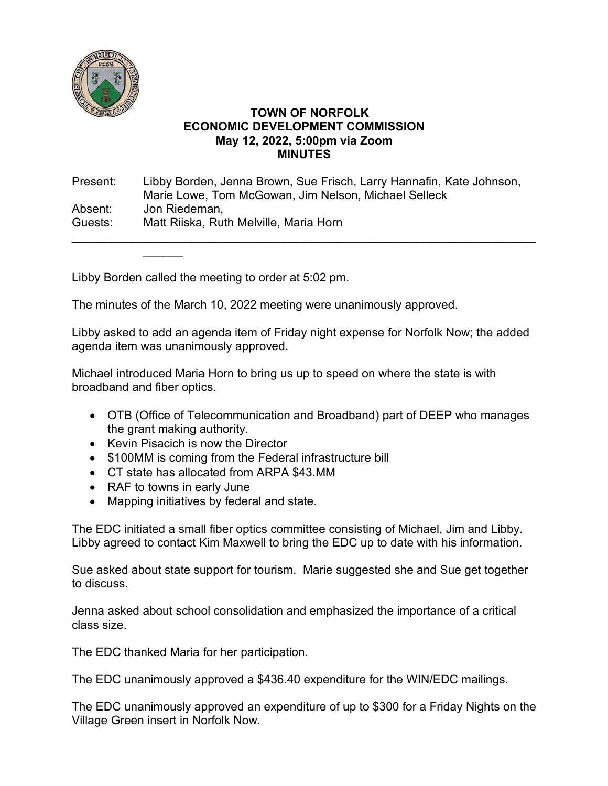

## **TOWN OF NORFOLK ECONOMIC DEVELOPMENT COMMISSION May 12, 2022, 5:00pm via Zoom MINUTES**

Present: Libby Borden, Jenna Brown, Sue Frisch, Larry Hannafin, Kate Johnson, Marie Lowe, Tom McGowan, Jim Nelson, Michael Selleck Absent: Jon Riedeman, Guests: Matt Riiska, Ruth Melville, Maria Horn

\_\_\_\_\_\_\_\_\_\_\_\_\_\_\_\_\_\_\_\_\_\_\_\_\_\_\_\_\_\_\_\_\_\_\_\_\_\_\_\_\_\_\_\_\_\_\_\_\_\_\_\_\_\_\_\_\_\_\_\_\_\_\_\_\_\_\_\_\_\_

Libby Borden called the meeting to order at 5:02 pm.

 $\overline{\phantom{a}}$ 

The minutes of the March 10, 2022 meeting were unanimously approved.

Libby asked to add an agenda item of Friday night expense for Norfolk Now; the added agenda item was unanimously approved.

Michael introduced Maria Horn to bring us up to speed on where the state is with broadband and fiber optics.

- OTB (Office of Telecommunication and Broadband) part of DEEP who manages the grant making authority.
- Kevin Pisacich is now the Director
- \$100MM is coming from the Federal infrastructure bill
- CT state has allocated from ARPA \$43.MM
- RAF to towns in early June
- Mapping initiatives by federal and state.

The EDC initiated a small fiber optics committee consisting of Michael, Jim and Libby. Libby agreed to contact Kim Maxwell to bring the EDC up to date with his information.

Sue asked about state support for tourism. Marie suggested she and Sue get together to discuss.

Jenna asked about school consolidation and emphasized the importance of a critical class size.

The EDC thanked Maria for her participation.

The EDC unanimously approved a \$436.40 expenditure for the WIN/EDC mailings.

The EDC unanimously approved an expenditure of up to \$300 for a Friday Nights on the Village Green insert in Norfolk Now.